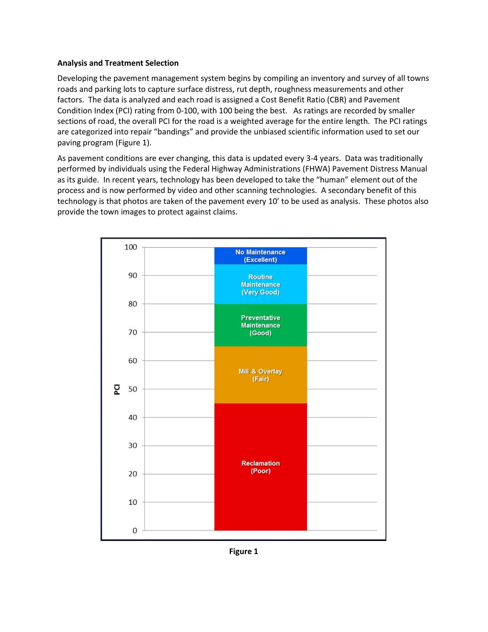## **Analysis and Treatment Selection**

Developing the pavement management system begins by compiling an inventory and survey of all towns roads and parking lots to capture surface distress, rut depth, roughness measurements and other factors. The data is analyzed and each road is assigned a Cost Benefit Ratio (CBR) and Pavement Condition Index (PCI) rating from 0-100, with 100 being the best. As ratings are recorded by smaller sections of road, the overall PCI for the road is a weighted average for the entire length. The PCI ratings are categorized into repair "bandings" and provide the unbiased scientific information used to set our paving program (Figure 1).

As pavement conditions are ever changing, this data is updated every 3-4 years. Data was traditionally performed by individuals using the Federal Highway Administrations (FHWA) Pavement Distress Manual as its guide. In recent years, technology has been developed to take the "human" element out of the process and is now performed by video and other scanning technologies. A secondary benefit of this technology is that photos are taken of the pavement every 10' to be used as analysis. These photos also provide the town images to protect against claims.



**Figure 1**